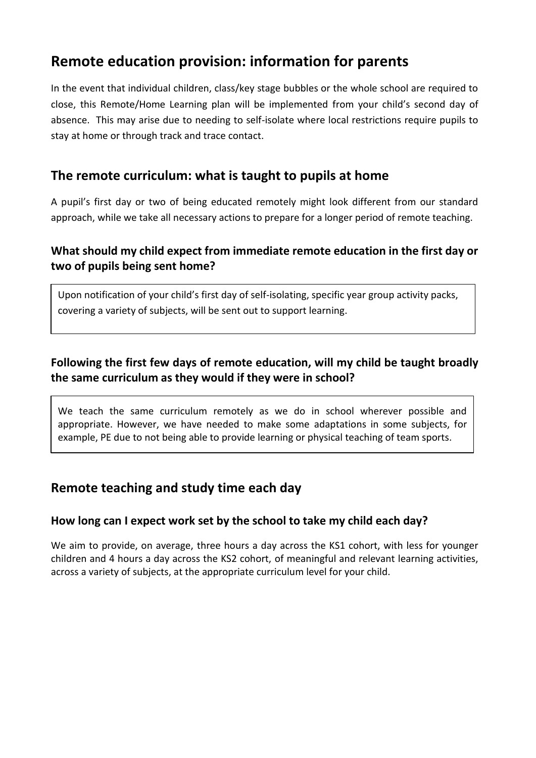# **Remote education provision: information for parents**

In the event that individual children, class/key stage bubbles or the whole school are required to close, this Remote/Home Learning plan will be implemented from your child's second day of absence. This may arise due to needing to self-isolate where local restrictions require pupils to stay at home or through track and trace contact.

# **The remote curriculum: what is taught to pupils at home**

A pupil's first day or two of being educated remotely might look different from our standard approach, while we take all necessary actions to prepare for a longer period of remote teaching.

#### **What should my child expect from immediate remote education in the first day or two of pupils being sent home?**

Upon notification of your child's first day of self-isolating, specific year group activity packs, covering a variety of subjects, will be sent out to support learning.

## **Following the first few days of remote education, will my child be taught broadly the same curriculum as they would if they were in school?**

We teach the same curriculum remotely as we do in school wherever possible and appropriate. However, we have needed to make some adaptations in some subjects, for example, PE due to not being able to provide learning or physical teaching of team sports.

# **Remote teaching and study time each day**

#### **How long can I expect work set by the school to take my child each day?**

We aim to provide, on average, three hours a day across the KS1 cohort, with less for younger children and 4 hours a day across the KS2 cohort, of meaningful and relevant learning activities, across a variety of subjects, at the appropriate curriculum level for your child.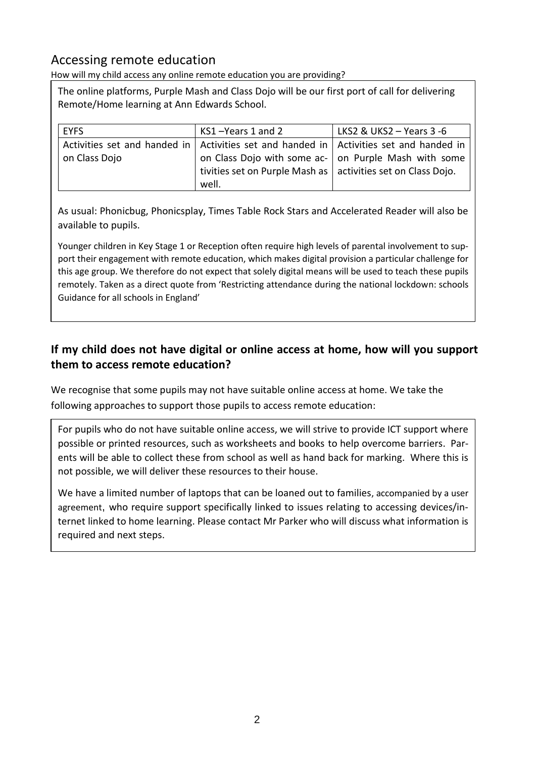# Accessing remote education

How will my child access any online remote education you are providing?

The online platforms, Purple Mash and Class Dojo will be our first port of call for delivering Remote/Home learning at Ann Edwards School.

| <b>EYFS</b>   | KS1-Years 1 and 2                                                                          | LKS2 & UKS2 $-$ Years 3 -6 |
|---------------|--------------------------------------------------------------------------------------------|----------------------------|
|               |                                                                                            |                            |
|               | Activities set and handed in   Activities set and handed in   Activities set and handed in |                            |
| on Class Dojo | on Class Dojo with some ac- on Purple Mash with some                                       |                            |
|               | tivities set on Purple Mash as   activities set on Class Dojo.                             |                            |
|               | well.                                                                                      |                            |

As usual: Phonicbug, Phonicsplay, Times Table Rock Stars and Accelerated Reader will also be available to pupils.

Younger children in Key Stage 1 or Reception often require high levels of parental involvement to support their engagement with remote education, which makes digital provision a particular challenge for this age group. We therefore do not expect that solely digital means will be used to teach these pupils remotely. Taken as a direct quote from 'Restricting attendance during the national lockdown: schools Guidance for all schools in England'

## **If my child does not have digital or online access at home, how will you support them to access remote education?**

We recognise that some pupils may not have suitable online access at home. We take the following approaches to support those pupils to access remote education:

For pupils who do not have suitable online access, we will strive to provide ICT support where possible or printed resources, such as worksheets and books to help overcome barriers. Parents will be able to collect these from school as well as hand back for marking. Where this is not possible, we will deliver these resources to their house.

We have a limited number of laptops that can be loaned out to families, accompanied by a user agreement, who require support specifically linked to issues relating to accessing devices/internet linked to home learning. Please contact Mr Parker who will discuss what information is required and next steps.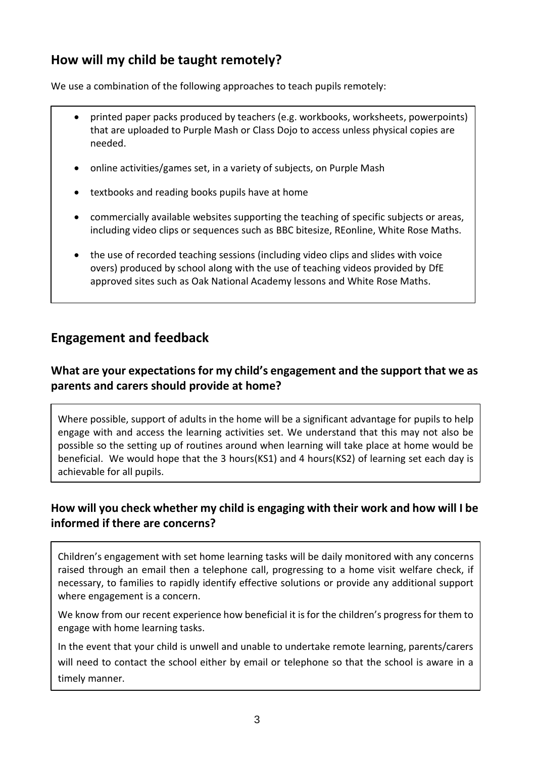# **How will my child be taught remotely?**

We use a combination of the following approaches to teach pupils remotely:

- printed paper packs produced by teachers (e.g. workbooks, worksheets, powerpoints) that are uploaded to Purple Mash or Class Dojo to access unless physical copies are needed.
- online activities/games set, in a variety of subjects, on Purple Mash
- textbooks and reading books pupils have at home
- commercially available websites supporting the teaching of specific subjects or areas, including video clips or sequences such as BBC bitesize, REonline, White Rose Maths.
- the use of recorded teaching sessions (including video clips and slides with voice overs) produced by school along with the use of teaching videos provided by DfE approved sites such as Oak National Academy lessons and White Rose Maths.

# **Engagement and feedback**

#### **What are your expectations for my child's engagement and the support that we as parents and carers should provide at home?**

Where possible, support of adults in the home will be a significant advantage for pupils to help engage with and access the learning activities set. We understand that this may not also be possible so the setting up of routines around when learning will take place at home would be beneficial. We would hope that the 3 hours(KS1) and 4 hours(KS2) of learning set each day is achievable for all pupils.

## **How will you check whether my child is engaging with their work and how will I be informed if there are concerns?**

Children's engagement with set home learning tasks will be daily monitored with any concerns raised through an email then a telephone call, progressing to a home visit welfare check, if necessary, to families to rapidly identify effective solutions or provide any additional support where engagement is a concern.

We know from our recent experience how beneficial it is for the children's progress for them to engage with home learning tasks.

In the event that your child is unwell and unable to undertake remote learning, parents/carers will need to contact the school either by email or telephone so that the school is aware in a timely manner.